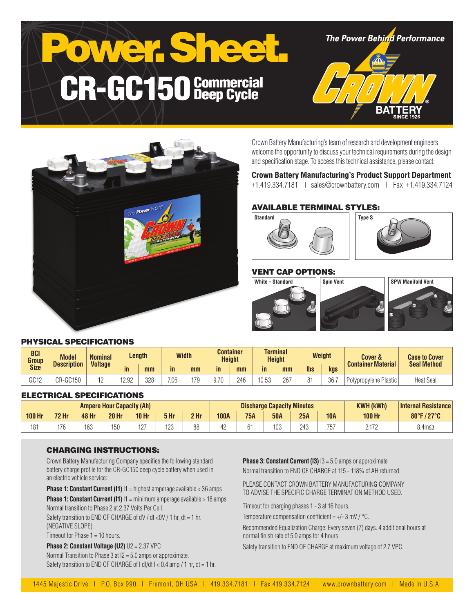# Power. Shee CR-GC150 Commercial

**The Power Behind Performance** 





Crown Battery Manufacturing's team of research and development engineers welcome the opportunity to discuss your technical requirements during the design and specification stage. To access this technical assistance, please contact:

## **Crown Battery Manufacturing's Product Support Department**

+1.419.334.7181 | sales@crownbattery.com | Fax +1.419.334.7124

# AVAILABLE TERMINAL STYLES:



# VENT CAP OPTIONS:



#### PHYSICAL SPECIFICATIONS

| <b>BCI</b><br>Group | <b>Model</b><br><b>Description</b> | <b>Nominal</b><br><b>Voltage</b> | Length |     | <b>Width</b> |     | <b>Container</b><br><b>Height</b> |     | <b>Terminal</b><br><b>Height</b> |     | <b>Weight</b> |      | <b>Cover &amp;</b><br><b>Container Material</b> | <b>Case to Cover</b><br><b>Seal Method</b> |
|---------------------|------------------------------------|----------------------------------|--------|-----|--------------|-----|-----------------------------------|-----|----------------------------------|-----|---------------|------|-------------------------------------------------|--------------------------------------------|
| <b>Size</b>         |                                    |                                  | in     | mm  | in           | mm  | $\mathsf{in}$                     | mm  | in                               | mm  | <b>lbs</b>    | kgs  |                                                 |                                            |
| rrin<br>uu 12       | ີ <sup>ຕ</sup> R-GCາວບ             |                                  | 12.92  | 328 | 7.06         | 170 | 9.70                              | 246 | 10.53                            | 267 | ገብ            | 36.7 | Polypropylene Plastic                           | <b>Heat Seal</b>                           |

#### ELECTRICAL SPECIFICATIONS

| <b>Ampere Hour Capacity (Ah)</b> |              |       |              |              |      |                 | <b>Discharge Capacity Minutes</b> |            |            |     |            | <b>KWH (kWh)</b> | <b>Internal Resistance</b> |
|----------------------------------|--------------|-------|--------------|--------------|------|-----------------|-----------------------------------|------------|------------|-----|------------|------------------|----------------------------|
| <b>100 Hr</b>                    | <b>72 Hr</b> | 48 Hr | <b>20 Hr</b> | <b>10 Hr</b> | 5 Hr | 2 <sub>hr</sub> | <b>100A</b>                       | <b>75A</b> | <b>50A</b> | 25A | <b>10A</b> | <b>100 Hr</b>    | 80°F/27°C<br>$\mathbf{Z}$  |
| 181                              | 176          | 163   | 150          | 127          | 123  | 88              | 4Ł                                |            | 103        | 243 | 757        | n 170            | $8.4m\Omega$               |

#### CHARGING INSTRUCTIONS:

Crown Battery Manufacturing Company specifies the following standard battery charge profile for the CR-GC150 deep cycle battery when used in an electric vehicle service:

**Phase 1: Constant Current (I1)**  $11$  = highest amperage available < 36 amps

**Phase 1: Constant Current (I1)**  $11 = \text{minimum}$  amperage available > 18 amps Normal transition to Phase 2 at 2.37 Volts Per Cell.

Safety transition to END OF CHARGE of dV / dt <0V / 1 hr, dt = 1 hr, (NEGATIVE SLOPE).

Timeout for Phase 1 = 10 hours.

**Phase 2: Constant Voltage (U2)** U2 = 2.37 VPC Normal Transition to Phase 3 at I2 = 5.0 amps or approximate. Safety transition to END OF CHARGE of  $| d|/dt$   $| < 0.4$  amp  $/ 1$  hr,  $dt = 1$  hr. **Phase 3: Constant Current (I3)**  $13 = 5.0$  amps or approximate Normal transition to END OF CHARGE at 115 - 118% of AH returned.

PLEASE CONTACT CROWN BATTERY MANUFACTURING COMPANY TO ADVISE THE SPECIFIC CHARGE TERMINATION METHOD USED.

Timeout for charging phases 1 - 3 at 16 hours.

Temperature compensation coefficient =  $+/- 3$  mV  $/$  °C.

Recommended Equalization Charge: Every seven (7) days. 4 additional hours at normal finish rate of 5.0 amps for 4 hours.

Safety transition to END OF CHARGE at maximum voltage of 2.7 VPC.